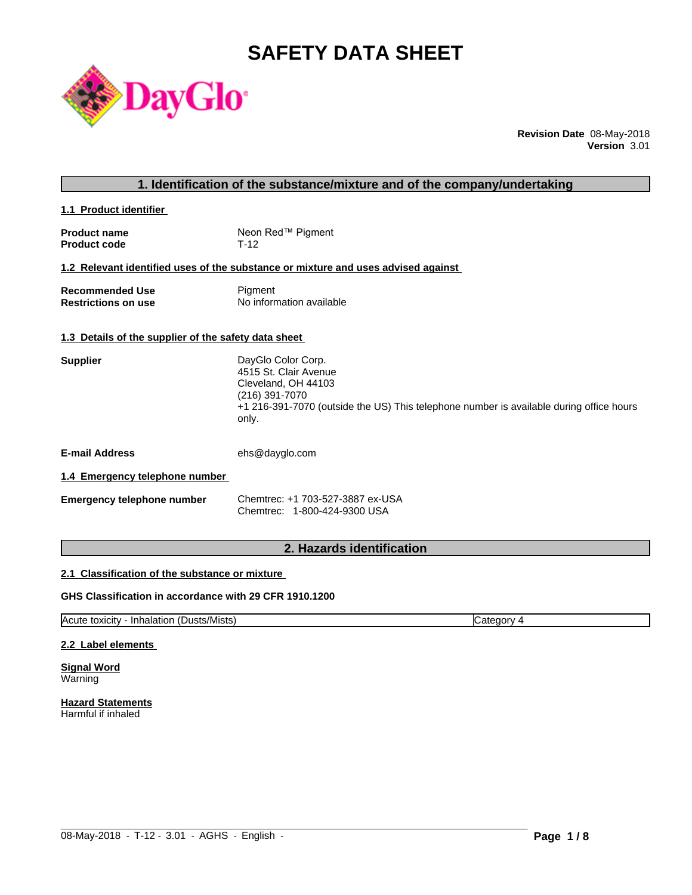# **SAFETY DATA SHEET**



**Revision Date** 08-May-2018 **Version** 3.01

| 1. Identification of the substance/mixture and of the company/undertaking |                                                                                                                                                                                          |  |
|---------------------------------------------------------------------------|------------------------------------------------------------------------------------------------------------------------------------------------------------------------------------------|--|
| 1.1 Product identifier                                                    |                                                                                                                                                                                          |  |
| <b>Product name</b><br><b>Product code</b>                                | Neon Red™ Pigment<br>$T-12$                                                                                                                                                              |  |
|                                                                           | 1.2 Relevant identified uses of the substance or mixture and uses advised against                                                                                                        |  |
| <b>Recommended Use</b><br><b>Restrictions on use</b>                      | Pigment<br>No information available                                                                                                                                                      |  |
| 1.3 Details of the supplier of the safety data sheet                      |                                                                                                                                                                                          |  |
| <b>Supplier</b>                                                           | DayGlo Color Corp.<br>4515 St. Clair Avenue<br>Cleveland, OH 44103<br>(216) 391-7070<br>+1 216-391-7070 (outside the US) This telephone number is available during office hours<br>only. |  |
| <b>E-mail Address</b>                                                     | ehs@dayglo.com                                                                                                                                                                           |  |
| 1.4 Emergency telephone number                                            |                                                                                                                                                                                          |  |
| <b>Emergency telephone number</b>                                         | Chemtrec: +1 703-527-3887 ex-USA<br>Chemtrec: 1-800-424-9300 USA                                                                                                                         |  |
|                                                                           |                                                                                                                                                                                          |  |

# **2. Hazards identification**

# **2.1 Classification of the substance or mixture**

# **GHS Classification in accordance with 29 CFR 1910.1200**

Acute toxicity - Inhalation (Dusts/Mists) Category 4

 $\_$  ,  $\_$  ,  $\_$  ,  $\_$  ,  $\_$  ,  $\_$  ,  $\_$  ,  $\_$  ,  $\_$  ,  $\_$  ,  $\_$  ,  $\_$  ,  $\_$  ,  $\_$  ,  $\_$  ,  $\_$  ,  $\_$  ,  $\_$  ,  $\_$  ,  $\_$  ,  $\_$  ,  $\_$  ,  $\_$  ,  $\_$  ,  $\_$  ,  $\_$  ,  $\_$  ,  $\_$  ,  $\_$  ,  $\_$  ,  $\_$  ,  $\_$  ,  $\_$  ,  $\_$  ,  $\_$  ,  $\_$  ,  $\_$  ,

#### **2.2 Label elements**

**Signal Word** Warning

**Hazard Statements** Harmful if inhaled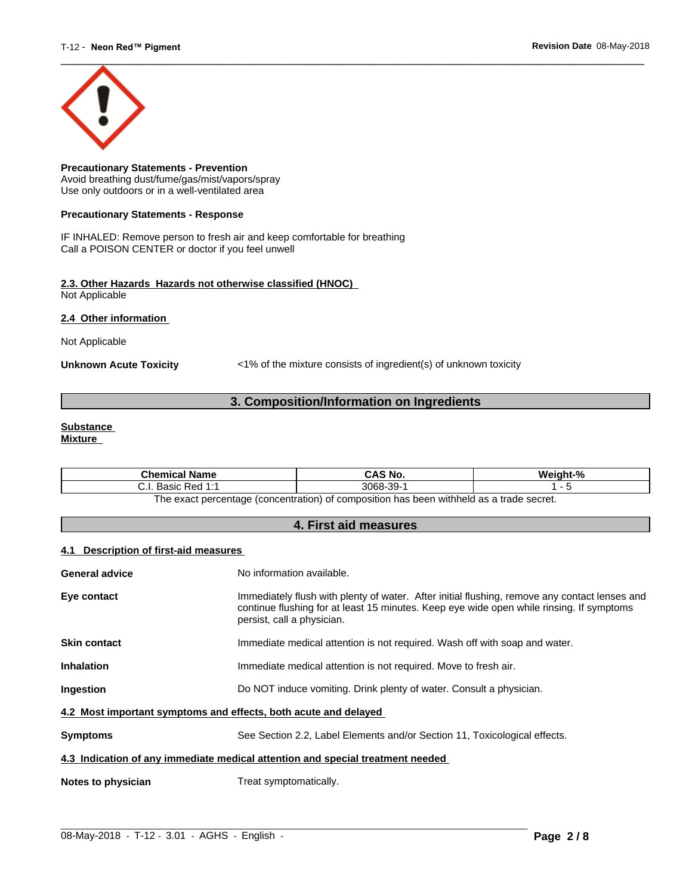

**Precautionary Statements - Prevention** Avoid breathing dust/fume/gas/mist/vapors/spray Use only outdoors or in a well-ventilated area

#### **Precautionary Statements - Response**

IF INHALED: Remove person to fresh air and keep comfortable for breathing Call a POISON CENTER or doctor if you feel unwell

#### **2.3. Other Hazards Hazards not otherwise classified (HNOC)** Not Applicable

**2.4 Other information** 

Not Applicable

**Unknown Acute Toxicity** <1% of the mixture consists of ingredient(s) of unknown toxicity

# **3. Composition/Information on Ingredients**

#### **Substance Mixture**

| <b>Chemical Name</b>                                                                          | CAS No.   | Weight-% |  |
|-----------------------------------------------------------------------------------------------|-----------|----------|--|
| . Basic Red 1:1<br>. ا . ب                                                                    | 3068-39-1 |          |  |
| n has been withheld as a trade secret.<br>The exact percentage (concentration) of composition |           |          |  |

**4. First aid measures**

### **4.1 Description of first-aid measures**

| <b>General advice</b>                                                          | No information available.                                                                                                                                                                                               |  |
|--------------------------------------------------------------------------------|-------------------------------------------------------------------------------------------------------------------------------------------------------------------------------------------------------------------------|--|
|                                                                                |                                                                                                                                                                                                                         |  |
| Eye contact                                                                    | Immediately flush with plenty of water. After initial flushing, remove any contact lenses and<br>continue flushing for at least 15 minutes. Keep eye wide open while rinsing. If symptoms<br>persist, call a physician. |  |
| <b>Skin contact</b>                                                            | Immediate medical attention is not required. Wash off with soap and water.                                                                                                                                              |  |
| <b>Inhalation</b>                                                              | Immediate medical attention is not required. Move to fresh air.                                                                                                                                                         |  |
| Ingestion                                                                      | Do NOT induce vomiting. Drink plenty of water. Consult a physician.                                                                                                                                                     |  |
| 4.2 Most important symptoms and effects, both acute and delayed                |                                                                                                                                                                                                                         |  |
| <b>Symptoms</b>                                                                | See Section 2.2, Label Elements and/or Section 11, Toxicological effects.                                                                                                                                               |  |
| 4.3 Indication of any immediate medical attention and special treatment needed |                                                                                                                                                                                                                         |  |
| Notes to physician                                                             | Treat symptomatically.                                                                                                                                                                                                  |  |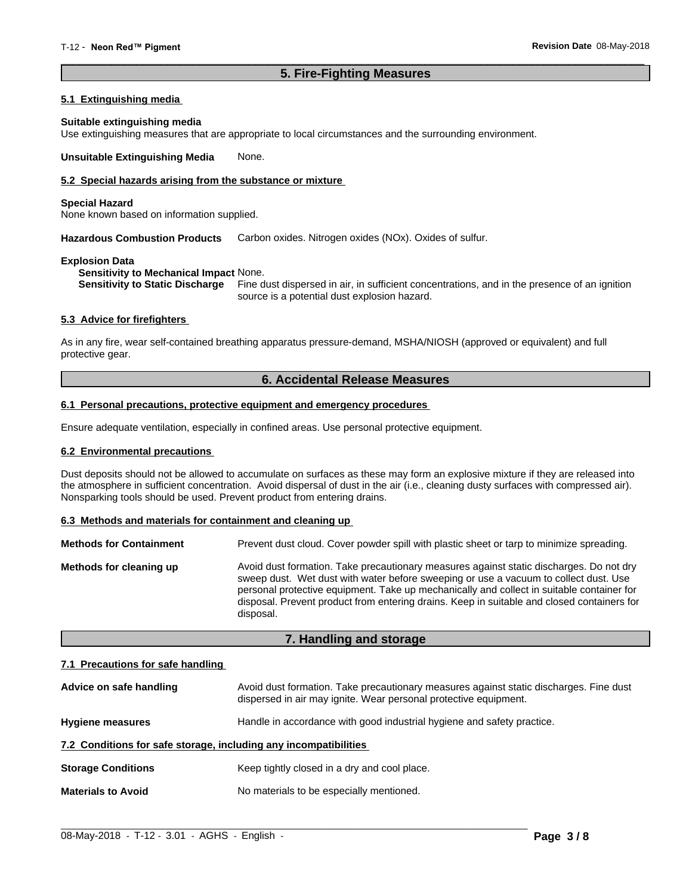# **5. Fire-Fighting Measures**

 $\overline{\phantom{a}}$  ,  $\overline{\phantom{a}}$  ,  $\overline{\phantom{a}}$  ,  $\overline{\phantom{a}}$  ,  $\overline{\phantom{a}}$  ,  $\overline{\phantom{a}}$  ,  $\overline{\phantom{a}}$  ,  $\overline{\phantom{a}}$  ,  $\overline{\phantom{a}}$  ,  $\overline{\phantom{a}}$  ,  $\overline{\phantom{a}}$  ,  $\overline{\phantom{a}}$  ,  $\overline{\phantom{a}}$  ,  $\overline{\phantom{a}}$  ,  $\overline{\phantom{a}}$  ,  $\overline{\phantom{a}}$ 

#### **5.1 Extinguishing media**

#### **Suitable extinguishing media**

Use extinguishing measures that are appropriate to local circumstances and the surrounding environment.

**Unsuitable Extinguishing Media** None.

# **5.2 Special hazards arising from the substance or mixture**

#### **Special Hazard**

None known based on information supplied.

**Hazardous Combustion Products** Carbon oxides. Nitrogen oxides (NOx). Oxides of sulfur.

#### **Explosion Data**

**Sensitivity to Mechanical Impact** None.

**Sensitivity to Static Discharge** Fine dust dispersed in air, in sufficient concentrations, and in the presence of an ignition source is a potential dust explosion hazard.

#### **5.3 Advice for firefighters**

As in any fire, wear self-contained breathing apparatus pressure-demand, MSHA/NIOSH (approved or equivalent) and full protective gear.

# **6. Accidental Release Measures**

#### **6.1 Personal precautions, protective equipment and emergency procedures**

Ensure adequate ventilation, especially in confined areas. Use personal protective equipment.

#### **6.2 Environmental precautions**

Dust deposits should not be allowed to accumulate on surfaces as these may form an explosive mixture if they are released into the atmosphere in sufficient concentration. Avoid dispersal of dust in the air (i.e., cleaning dusty surfaces with compressed air). Nonsparking tools should be used. Prevent product from entering drains.

#### **6.3 Methods and materials for containment and cleaning up**

| <b>Methods for Containment</b> | Prevent dust cloud. Cover powder spill with plastic sheet or tarp to minimize spreading.                                                                                                                                                                                                                                                                                                |  |
|--------------------------------|-----------------------------------------------------------------------------------------------------------------------------------------------------------------------------------------------------------------------------------------------------------------------------------------------------------------------------------------------------------------------------------------|--|
| Methods for cleaning up        | Avoid dust formation. Take precautionary measures against static discharges. Do not dry<br>sweep dust. Wet dust with water before sweeping or use a vacuum to collect dust. Use<br>personal protective equipment. Take up mechanically and collect in suitable container for<br>disposal. Prevent product from entering drains. Keep in suitable and closed containers for<br>disposal. |  |

# **7. Handling and storage**

#### **7.1 Precautions for safe handling**

| Advice on safe handling                                          | Avoid dust formation. Take precautionary measures against static discharges. Fine dust<br>dispersed in air may ignite. Wear personal protective equipment. |  |
|------------------------------------------------------------------|------------------------------------------------------------------------------------------------------------------------------------------------------------|--|
| <b>Hygiene measures</b>                                          | Handle in accordance with good industrial hygiene and safety practice.                                                                                     |  |
| 7.2 Conditions for safe storage, including any incompatibilities |                                                                                                                                                            |  |
| <b>Storage Conditions</b>                                        | Keep tightly closed in a dry and cool place.                                                                                                               |  |
| <b>Materials to Avoid</b>                                        | No materials to be especially mentioned.                                                                                                                   |  |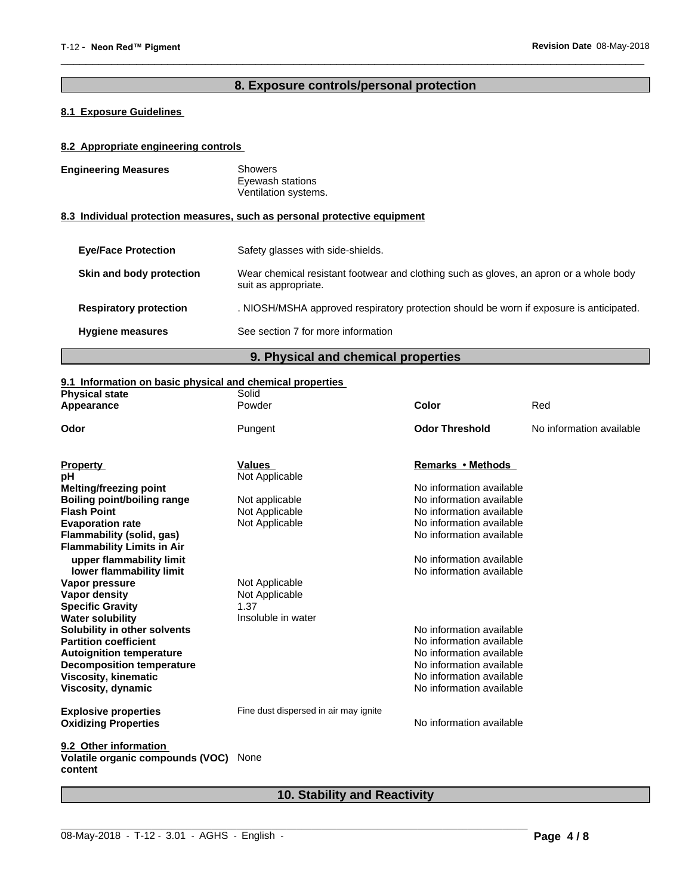# **8. Exposure controls/personal protection**

 $\overline{\phantom{a}}$  ,  $\overline{\phantom{a}}$  ,  $\overline{\phantom{a}}$  ,  $\overline{\phantom{a}}$  ,  $\overline{\phantom{a}}$  ,  $\overline{\phantom{a}}$  ,  $\overline{\phantom{a}}$  ,  $\overline{\phantom{a}}$  ,  $\overline{\phantom{a}}$  ,  $\overline{\phantom{a}}$  ,  $\overline{\phantom{a}}$  ,  $\overline{\phantom{a}}$  ,  $\overline{\phantom{a}}$  ,  $\overline{\phantom{a}}$  ,  $\overline{\phantom{a}}$  ,  $\overline{\phantom{a}}$ 

# **8.1 Exposure Guidelines**

# **8.2 Appropriate engineering controls**

| <b>Engineering Measures</b>   | <b>Showers</b><br>Eyewash stations<br>Ventilation systems.                                                     |
|-------------------------------|----------------------------------------------------------------------------------------------------------------|
|                               | 8.3 Individual protection measures, such as personal protective equipment                                      |
| <b>Eye/Face Protection</b>    | Safety glasses with side-shields.                                                                              |
| Skin and body protection      | Wear chemical resistant footwear and clothing such as gloves, an apron or a whole body<br>suit as appropriate. |
| <b>Respiratory protection</b> | . NIOSH/MSHA approved respiratory protection should be worn if exposure is anticipated.                        |
| <b>Hygiene measures</b>       | See section 7 for more information                                                                             |

# **9. Physical and chemical properties**

# **9.1 Information on basic physical and chemical properties**

| <b>Physical state</b>                       | Solid                                 |                          |                          |
|---------------------------------------------|---------------------------------------|--------------------------|--------------------------|
| Appearance                                  | Powder                                | Color                    | Red                      |
| Odor                                        | Pungent                               | <b>Odor Threshold</b>    | No information available |
| <b>Property</b>                             | <b>Values</b>                         | Remarks • Methods        |                          |
| рH                                          | Not Applicable                        |                          |                          |
| Melting/freezing point                      |                                       | No information available |                          |
| <b>Boiling point/boiling range</b>          | Not applicable                        | No information available |                          |
| <b>Flash Point</b>                          | Not Applicable                        | No information available |                          |
| <b>Evaporation rate</b>                     | Not Applicable                        | No information available |                          |
| Flammability (solid, gas)                   |                                       | No information available |                          |
| <b>Flammability Limits in Air</b>           |                                       |                          |                          |
| upper flammability limit                    |                                       | No information available |                          |
| lower flammability limit                    |                                       | No information available |                          |
| Vapor pressure                              | Not Applicable                        |                          |                          |
| Vapor density                               | Not Applicable                        |                          |                          |
| <b>Specific Gravity</b>                     | 1.37                                  |                          |                          |
| <b>Water solubility</b>                     | Insoluble in water                    |                          |                          |
| Solubility in other solvents                |                                       | No information available |                          |
| <b>Partition coefficient</b>                |                                       | No information available |                          |
| <b>Autoignition temperature</b>             |                                       | No information available |                          |
| <b>Decomposition temperature</b>            |                                       | No information available |                          |
| <b>Viscosity, kinematic</b>                 |                                       | No information available |                          |
| Viscosity, dynamic                          |                                       | No information available |                          |
| <b>Explosive properties</b>                 | Fine dust dispersed in air may ignite |                          |                          |
| <b>Oxidizing Properties</b>                 |                                       | No information available |                          |
| 9.2 Other information                       |                                       |                          |                          |
| Volatile organic compounds (VOC)<br>content | None                                  |                          |                          |
|                                             |                                       |                          |                          |

# **10. Stability and Reactivity**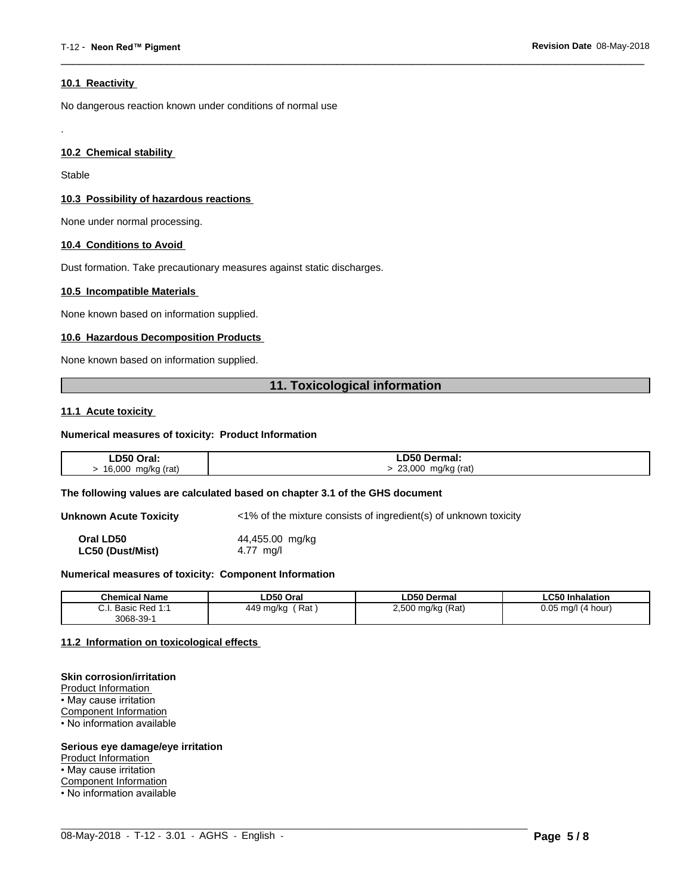#### **10.1 Reactivity**

No dangerous reaction known under conditions of normal use

#### **10.2 Chemical stability**

Stable

.

#### **10.3 Possibility of hazardous reactions**

None under normal processing.

#### **10.4 Conditions to Avoid**

Dust formation. Take precautionary measures against static discharges.

#### **10.5 Incompatible Materials**

None known based on information supplied.

#### **10.6 Hazardous Decomposition Products**

None known based on information supplied.

# **11. Toxicological information**

 $\overline{\phantom{a}}$  ,  $\overline{\phantom{a}}$  ,  $\overline{\phantom{a}}$  ,  $\overline{\phantom{a}}$  ,  $\overline{\phantom{a}}$  ,  $\overline{\phantom{a}}$  ,  $\overline{\phantom{a}}$  ,  $\overline{\phantom{a}}$  ,  $\overline{\phantom{a}}$  ,  $\overline{\phantom{a}}$  ,  $\overline{\phantom{a}}$  ,  $\overline{\phantom{a}}$  ,  $\overline{\phantom{a}}$  ,  $\overline{\phantom{a}}$  ,  $\overline{\phantom{a}}$  ,  $\overline{\phantom{a}}$ 

#### **11.1 Acute toxicity**

#### **Numerical measures of toxicity: Product Information**

| ∟D50 Oral:   | D50 Dermal:     |
|--------------|-----------------|
| 16,000       | 23,000          |
| mg/kg (rat)  | mg/kg (rat)     |
| $\mathbf{r}$ | $\cdot$ $\cdot$ |
| $\sim$       | $\sim$          |

#### **The following values are calculated based on chapter 3.1 of the GHS document**

**Unknown Acute Toxicity** <1% of the mixture consists of ingredient(s) of unknown toxicity

**Oral LD50** 44,455.00 mg/kg **LC50 (Dust/Mist)** 4.77 mg/l

#### **Numerical measures of toxicity: Component Information**

| <b>Chemical Name</b>                                                                | LD50 Oral        | <b>LD50 Dermal</b>     | <b>LC50 Inhalation</b>   |
|-------------------------------------------------------------------------------------|------------------|------------------------|--------------------------|
| $\sim$<br>$Dod$ 4.4<br><b>Dooin</b><br><b>D</b> asic<br>$\mathsf{r}$ Req.i.<br>υ.ι. | Rat<br>449 mg/kg | ) mg/kg (Rat)<br>2,500 | 0.05<br>(4 hour)<br>ma/l |
| $3068 - 39 - 7$                                                                     |                  |                        |                          |

 $\_$  ,  $\_$  ,  $\_$  ,  $\_$  ,  $\_$  ,  $\_$  ,  $\_$  ,  $\_$  ,  $\_$  ,  $\_$  ,  $\_$  ,  $\_$  ,  $\_$  ,  $\_$  ,  $\_$  ,  $\_$  ,  $\_$  ,  $\_$  ,  $\_$  ,  $\_$  ,  $\_$  ,  $\_$  ,  $\_$  ,  $\_$  ,  $\_$  ,  $\_$  ,  $\_$  ,  $\_$  ,  $\_$  ,  $\_$  ,  $\_$  ,  $\_$  ,  $\_$  ,  $\_$  ,  $\_$  ,  $\_$  ,  $\_$  ,

#### **11.2 Information on toxicologicaleffects**

#### **Skin corrosion/irritation**

Product Information • May cause irritation Component Information • No information available

#### **Serious eye damage/eye irritation**

Product Information

• May cause irritation

Component Information

• No information available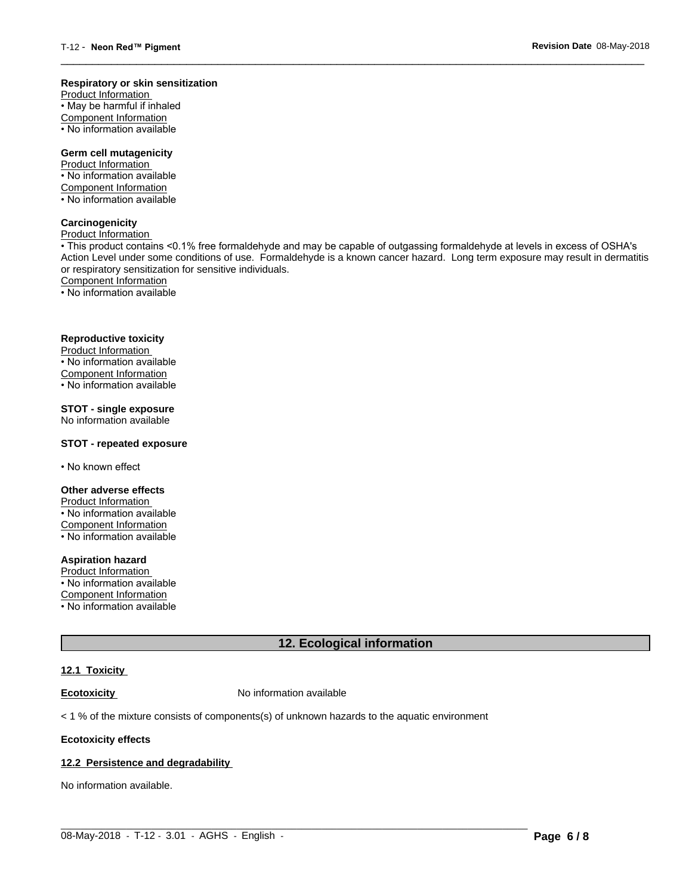#### **Respiratory or skin sensitization**

Product Information  $\overline{\cdot}$  May be harmful if inhaled Component Information • No information available

# **Germ cell mutagenicity**

Product Information • No information available Component Information • No information available

# **Carcinogenicity**

Product Information

• This product contains <0.1% free formaldehyde and may be capable of outgassing formaldehyde at levels in excess of OSHA's Action Level under some conditions of use. Formaldehyde is a known cancer hazard. Long term exposure may result in dermatitis or respiratory sensitization for sensitive individuals.Component Information

 $\overline{\phantom{a}}$  ,  $\overline{\phantom{a}}$  ,  $\overline{\phantom{a}}$  ,  $\overline{\phantom{a}}$  ,  $\overline{\phantom{a}}$  ,  $\overline{\phantom{a}}$  ,  $\overline{\phantom{a}}$  ,  $\overline{\phantom{a}}$  ,  $\overline{\phantom{a}}$  ,  $\overline{\phantom{a}}$  ,  $\overline{\phantom{a}}$  ,  $\overline{\phantom{a}}$  ,  $\overline{\phantom{a}}$  ,  $\overline{\phantom{a}}$  ,  $\overline{\phantom{a}}$  ,  $\overline{\phantom{a}}$ 

• No information available

# **Reproductive toxicity**

Product Information • No information available

Component Information

• No information available

# **STOT - single exposure**

No information available

### **STOT - repeated exposure**

• No known effect

#### **Other adverse effects**

Product Information • No information available Component Information • No information available

# **Aspiration hazard**

Product Information • No information available

Component Information

• No information available

# **12. Ecological information**

 $\_$  ,  $\_$  ,  $\_$  ,  $\_$  ,  $\_$  ,  $\_$  ,  $\_$  ,  $\_$  ,  $\_$  ,  $\_$  ,  $\_$  ,  $\_$  ,  $\_$  ,  $\_$  ,  $\_$  ,  $\_$  ,  $\_$  ,  $\_$  ,  $\_$  ,  $\_$  ,  $\_$  ,  $\_$  ,  $\_$  ,  $\_$  ,  $\_$  ,  $\_$  ,  $\_$  ,  $\_$  ,  $\_$  ,  $\_$  ,  $\_$  ,  $\_$  ,  $\_$  ,  $\_$  ,  $\_$  ,  $\_$  ,  $\_$  ,

#### **12.1 Toxicity**

**Ecotoxicity No information available** 

 $<$  1 % of the mixture consists of components(s) of unknown hazards to the aquatic environment

#### **Ecotoxicity effects**

#### **12.2 Persistence and degradability**

No information available.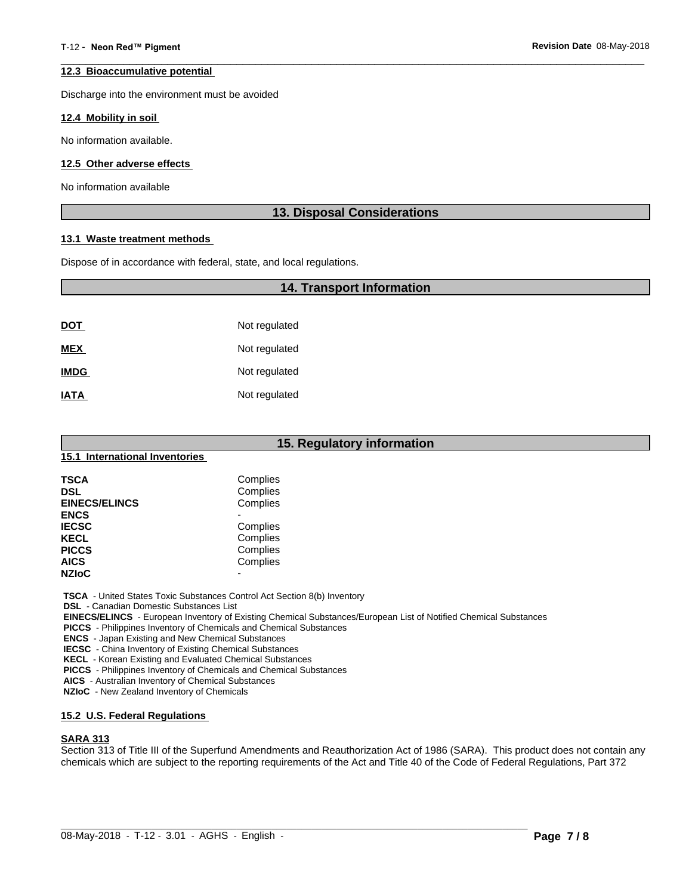#### **12.3 Bioaccumulative potential**

Discharge into the environment must be avoided

#### **12.4 Mobility in soil**

No information available.

#### **12.5 Other adverse effects**

No information available

# **13. Disposal Considerations**

 $\overline{\phantom{a}}$  ,  $\overline{\phantom{a}}$  ,  $\overline{\phantom{a}}$  ,  $\overline{\phantom{a}}$  ,  $\overline{\phantom{a}}$  ,  $\overline{\phantom{a}}$  ,  $\overline{\phantom{a}}$  ,  $\overline{\phantom{a}}$  ,  $\overline{\phantom{a}}$  ,  $\overline{\phantom{a}}$  ,  $\overline{\phantom{a}}$  ,  $\overline{\phantom{a}}$  ,  $\overline{\phantom{a}}$  ,  $\overline{\phantom{a}}$  ,  $\overline{\phantom{a}}$  ,  $\overline{\phantom{a}}$ 

#### **13.1 Waste treatment methods**

Dispose of in accordance with federal, state, and local regulations.

# **14. Transport Information**

| <u>DOT</u>  | Not regulated |
|-------------|---------------|
| <b>MEX</b>  | Not regulated |
| <b>IMDG</b> | Not regulated |
| <b>IATA</b> | Not regulated |

| 15. Regulatory information<br>15.1 International Inventories |          |  |
|--------------------------------------------------------------|----------|--|
|                                                              |          |  |
| <b>DSL</b>                                                   | Complies |  |
| <b>EINECS/ELINCS</b>                                         | Complies |  |
| <b>ENCS</b>                                                  |          |  |
| <b>IECSC</b>                                                 | Complies |  |
| <b>KECL</b>                                                  | Complies |  |
| <b>PICCS</b>                                                 | Complies |  |
| <b>AICS</b>                                                  | Complies |  |
| <b>NZIoC</b>                                                 | -        |  |

 **TSCA** - United States Toxic Substances Control Act Section 8(b) Inventory

 **DSL** - Canadian Domestic Substances List

 **EINECS/ELINCS** - European Inventory of Existing Chemical Substances/European List of Notified Chemical Substances

 **PICCS** - Philippines Inventory of Chemicals and Chemical Substances

 **ENCS** - Japan Existing and New Chemical Substances

 **IECSC** - China Inventory of Existing Chemical Substances

 **KECL** - Korean Existing and Evaluated Chemical Substances

 **PICCS** - Philippines Inventory of Chemicals and Chemical Substances

 **AICS** - Australian Inventory of Chemical Substances

 **NZIoC** - New Zealand Inventory of Chemicals

# **15.2 U.S. Federal Regulations**

# **SARA 313**

Section 313 of Title III of the Superfund Amendments and Reauthorization Act of 1986 (SARA). This product does not contain any chemicals which are subject to the reporting requirements of the Act and Title 40 of the Code of Federal Regulations, Part 372